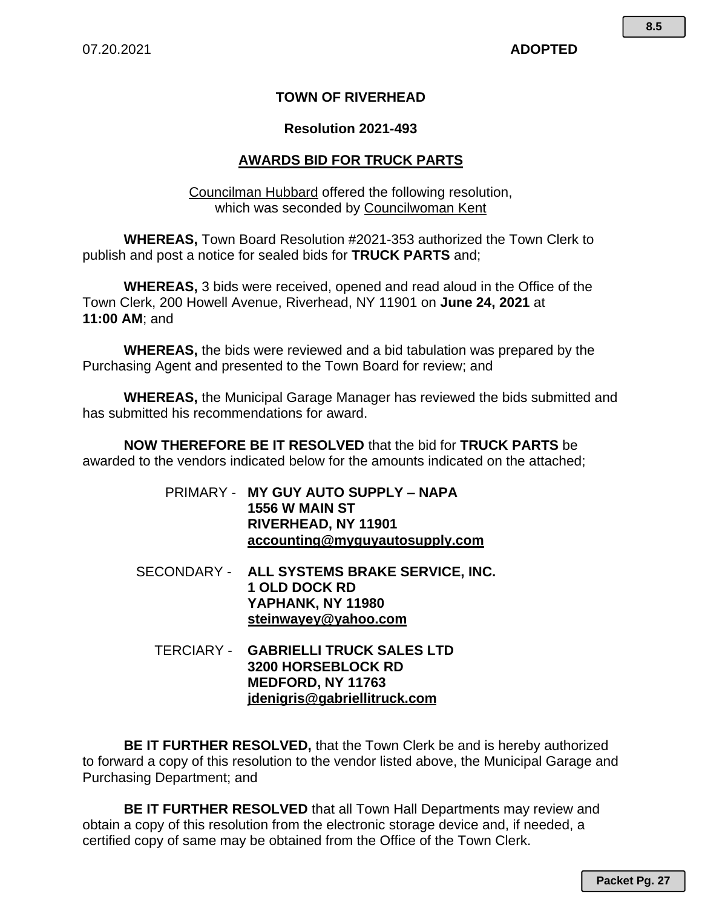#### **TOWN OF RIVERHEAD**

#### **Resolution 2021-493**

#### **AWARDS BID FOR TRUCK PARTS**

Councilman Hubbard offered the following resolution, which was seconded by Councilwoman Kent

**WHEREAS,** Town Board Resolution #2021-353 authorized the Town Clerk to publish and post a notice for sealed bids for **TRUCK PARTS** and;

**WHEREAS,** 3 bids were received, opened and read aloud in the Office of the Town Clerk, 200 Howell Avenue, Riverhead, NY 11901 on **June 24, 2021** at **11:00 AM**; and

**WHEREAS,** the bids were reviewed and a bid tabulation was prepared by the Purchasing Agent and presented to the Town Board for review; and

**WHEREAS,** the Municipal Garage Manager has reviewed the bids submitted and has submitted his recommendations for award.

**NOW THEREFORE BE IT RESOLVED** that the bid for **TRUCK PARTS** be awarded to the vendors indicated below for the amounts indicated on the attached;

- PRIMARY - **MY GUY AUTO SUPPLY NAPA 1556 W MAIN ST RIVERHEAD, NY 11901 accounting@myguyautosupply.com**
- SECONDARY - **ALL SYSTEMS BRAKE SERVICE, INC. 1 OLD DOCK RD YAPHANK, NY 11980 steinwayey@yahoo.com**
	- TERCIARY - **GABRIELLI TRUCK SALES LTD 3200 HORSEBLOCK RD MEDFORD, NY 11763 jdenigris@gabriellitruck.com**

**BE IT FURTHER RESOLVED,** that the Town Clerk be and is hereby authorized to forward a copy of this resolution to the vendor listed above, the Municipal Garage and Purchasing Department; and

**BE IT FURTHER RESOLVED** that all Town Hall Departments may review and obtain a copy of this resolution from the electronic storage device and, if needed, a certified copy of same may be obtained from the Office of the Town Clerk.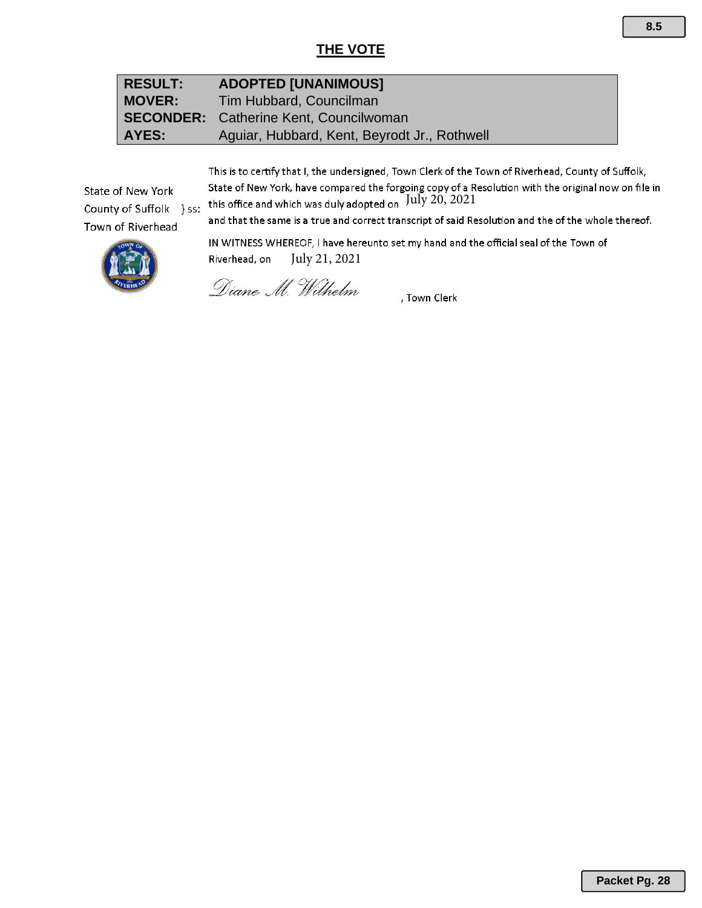### **THE VOTE**

| <b>RESULT:</b> | <b>ADOPTED [UNANIMOUS]</b>                    |
|----------------|-----------------------------------------------|
| <b>MOVER:</b>  | Tim Hubbard, Councilman                       |
|                | <b>SECONDER:</b> Catherine Kent, Councilwoman |
| AYES:          | Aguiar, Hubbard, Kent, Beyrodt Jr., Rothwell  |

This is to certify that I, the undersigned, Town Clerk of the Town of Riverhead, County of Suffolk, State of New York, have compared the forgoing copy of a Resolution with the original now on file in<br>this office and which was duly adopted on  $July 20, 2021$ 

State of New York County of Suffolk } ss: Town of Riverhead

and that the same is a true and correct transcript of said Resolution and the of the whole thereof.

IN WITNESS WHEREOF, I have hereunto set my hand and the official seal of the Town of Riverhead, on July 21, 2021

Diane M. Wilhelm

, Town Clerk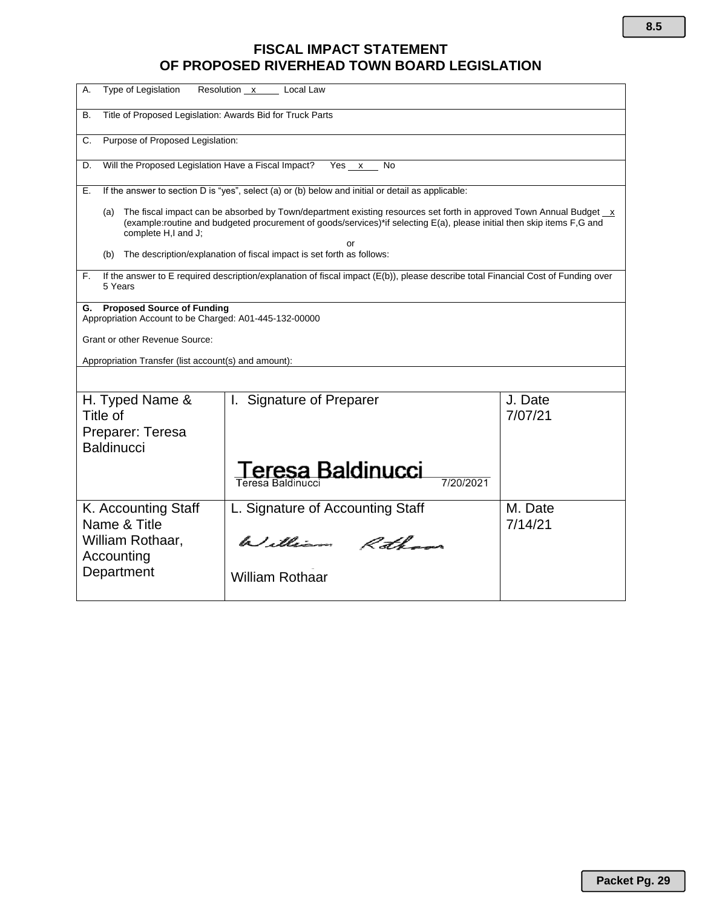## **FISCAL IMPACT STATEMENT OF PROPOSED RIVERHEAD TOWN BOARD LEGISLATION**

| Type of Legislation<br>А.<br>Resolution x<br>Local Law                                            |                                                                                                                                                                                                                                                                 |                    |  |  |  |  |  |
|---------------------------------------------------------------------------------------------------|-----------------------------------------------------------------------------------------------------------------------------------------------------------------------------------------------------------------------------------------------------------------|--------------------|--|--|--|--|--|
| Title of Proposed Legislation: Awards Bid for Truck Parts<br>В.                                   |                                                                                                                                                                                                                                                                 |                    |  |  |  |  |  |
| Purpose of Proposed Legislation:<br>C.                                                            |                                                                                                                                                                                                                                                                 |                    |  |  |  |  |  |
| Will the Proposed Legislation Have a Fiscal Impact?<br>D.                                         | Yes x<br>No                                                                                                                                                                                                                                                     |                    |  |  |  |  |  |
| Е.                                                                                                | If the answer to section D is "yes", select (a) or (b) below and initial or detail as applicable:                                                                                                                                                               |                    |  |  |  |  |  |
| (a)<br>complete H,I and J;                                                                        | The fiscal impact can be absorbed by Town/department existing resources set forth in approved Town Annual Budget $\overline{x}$<br>(example:routine and budgeted procurement of goods/services)*if selecting E(a), please initial then skip items F,G and<br>or |                    |  |  |  |  |  |
| (b)                                                                                               | The description/explanation of fiscal impact is set forth as follows:                                                                                                                                                                                           |                    |  |  |  |  |  |
| F.<br>5 Years                                                                                     | If the answer to E required description/explanation of fiscal impact (E(b)), please describe total Financial Cost of Funding over                                                                                                                               |                    |  |  |  |  |  |
| <b>Proposed Source of Funding</b><br>G.<br>Appropriation Account to be Charged: A01-445-132-00000 |                                                                                                                                                                                                                                                                 |                    |  |  |  |  |  |
| Grant or other Revenue Source:                                                                    |                                                                                                                                                                                                                                                                 |                    |  |  |  |  |  |
| Appropriation Transfer (list account(s) and amount):                                              |                                                                                                                                                                                                                                                                 |                    |  |  |  |  |  |
|                                                                                                   |                                                                                                                                                                                                                                                                 |                    |  |  |  |  |  |
| H. Typed Name &<br>Title of                                                                       | I. Signature of Preparer                                                                                                                                                                                                                                        | J. Date<br>7/07/21 |  |  |  |  |  |
| Preparer: Teresa<br><b>Baldinucci</b>                                                             |                                                                                                                                                                                                                                                                 |                    |  |  |  |  |  |
| eresa Baldinucci<br>7/20/2021<br>Teresa Baldinucci                                                |                                                                                                                                                                                                                                                                 |                    |  |  |  |  |  |
| K. Accounting Staff<br>Name & Title                                                               | L. Signature of Accounting Staff                                                                                                                                                                                                                                | M. Date<br>7/14/21 |  |  |  |  |  |
| William Rothaar,<br>Accounting                                                                    | William Rothans                                                                                                                                                                                                                                                 |                    |  |  |  |  |  |
| Department                                                                                        | <b>William Rothaar</b>                                                                                                                                                                                                                                          |                    |  |  |  |  |  |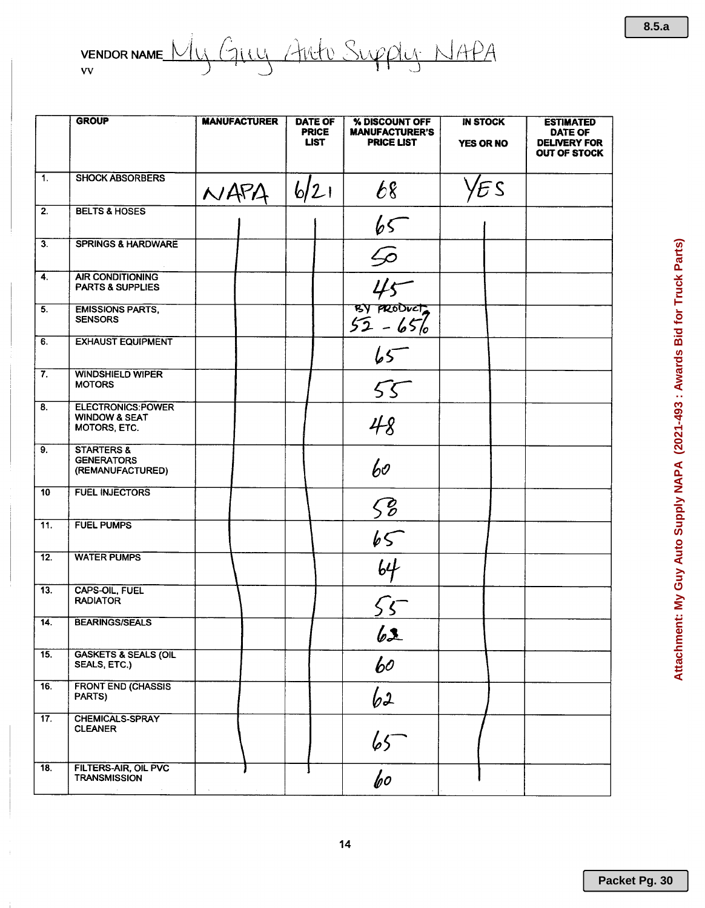|                           | <b>GROUP</b>                                                         | <b>MANUFACTURER</b> | <b>DATE OF</b><br><b>PRICE</b><br><b>LIST</b> | % DISCOUNT OFF<br><b>MANUFACTURER'S</b><br><b>PRICE LIST</b> | <b>IN STOCK</b><br>YES OR NO | <b>ESTIMATED</b><br>DATE OF<br><b>DELIVERY FOR</b><br><b>OUT OF STOCK</b> |
|---------------------------|----------------------------------------------------------------------|---------------------|-----------------------------------------------|--------------------------------------------------------------|------------------------------|---------------------------------------------------------------------------|
| $\overline{1}$ .          | <b>SHOCK ABSORBERS</b>                                               | NAPA                | 6/21                                          | 68                                                           | ΈS                           |                                                                           |
| $\overline{2}$ .          | <b>BELTS &amp; HOSES</b>                                             |                     |                                               | 65                                                           |                              |                                                                           |
| $\overline{3}$ .          | <b>SPRINGS &amp; HARDWARE</b>                                        |                     |                                               | $\frac{6}{45}$<br>$\frac{45}{32-656}$                        |                              |                                                                           |
| $\overline{4}$ .          | <b>AIR CONDITIONING</b><br><b>PARTS &amp; SUPPLIES</b>               |                     |                                               |                                                              |                              |                                                                           |
| 5.                        | <b>EMISSIONS PARTS,</b><br><b>SENSORS</b>                            |                     |                                               |                                                              |                              |                                                                           |
| 6.                        | <b>EXHAUST EQUIPMENT</b>                                             |                     |                                               | $\overline{65}$                                              |                              |                                                                           |
| $\overline{\mathbf{7}}$ . | <b>WINDSHIELD WIPER</b><br><b>MOTORS</b>                             |                     |                                               | 55                                                           |                              |                                                                           |
| $\overline{8}$ .          | <b>ELECTRONICS:POWER</b><br><b>WINDOW &amp; SEAT</b><br>MOTORS, ETC. |                     |                                               | 48                                                           |                              |                                                                           |
| $\overline{9}$ .          | <b>STARTERS &amp;</b><br><b>GENERATORS</b><br>(REMANUFACTURED)       |                     |                                               | 60                                                           |                              |                                                                           |
| 10                        | <b>FUEL INJECTORS</b>                                                |                     |                                               | $\sqrt{6}$                                                   |                              |                                                                           |
| 11.                       | <b>FUEL PUMPS</b>                                                    |                     |                                               | 65                                                           |                              |                                                                           |
| 12.                       | <b>WATER PUMPS</b>                                                   |                     |                                               | $\overline{64}$                                              |                              |                                                                           |
| $\overline{13}$ .         | CAPS-OIL, FUEL<br><b>RADIATOR</b>                                    |                     |                                               |                                                              |                              |                                                                           |
| 14.                       | <b>BEARINGS/SEALS</b>                                                |                     |                                               | 62                                                           |                              |                                                                           |
| 15.                       | <b>GASKETS &amp; SEALS (OIL</b><br>SEALS, ETC.)                      |                     |                                               | 60                                                           |                              |                                                                           |
| 16.                       | <b>FRONT END (CHASSIS</b><br>PARTS)                                  |                     |                                               | 62                                                           |                              |                                                                           |
| 17.                       | CHEMICALS-SPRAY<br><b>CLEANER</b>                                    |                     |                                               | $65 -$                                                       |                              |                                                                           |
| $\overline{18}$ .         | <b>FILTERS-AIR, OIL PVC</b><br><b>TRANSMISSION</b>                   |                     |                                               | $\overline{b}$                                               |                              |                                                                           |

 $8.5.a$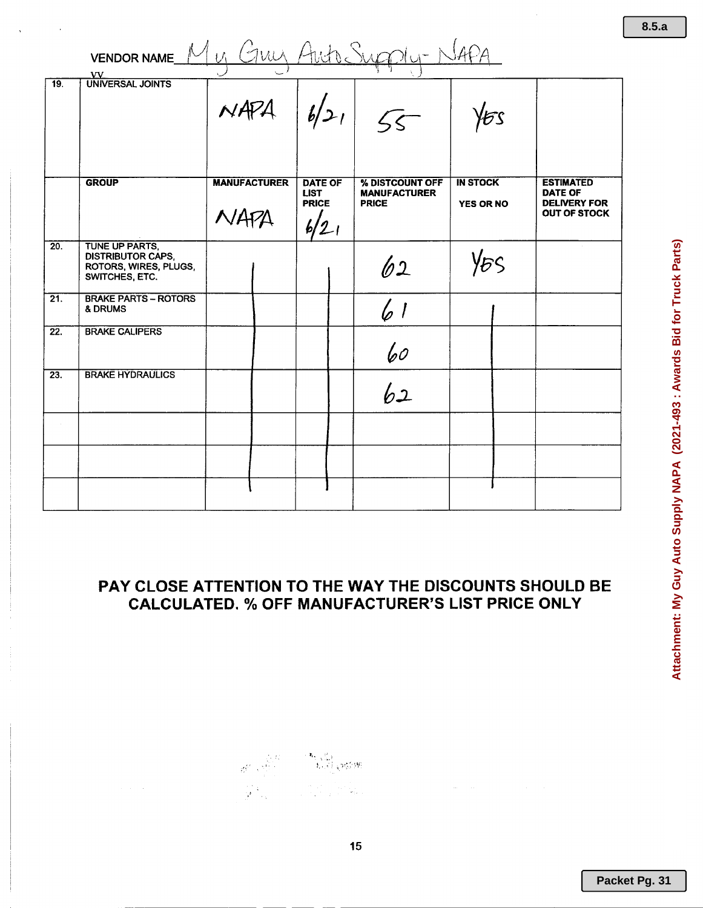|                   | VENDOR NAME Mu GULL Auto Supply-NAP<br>VV                                             |                             |                                                       |                                                        |                                     |                                                                                  |
|-------------------|---------------------------------------------------------------------------------------|-----------------------------|-------------------------------------------------------|--------------------------------------------------------|-------------------------------------|----------------------------------------------------------------------------------|
| $\overline{19}$ . | <b>UNIVERSAL JOINTS</b>                                                               | $NAPA$ $ b/21 $ 55          |                                                       |                                                        | ЪS                                  |                                                                                  |
|                   | <b>GROUP</b>                                                                          | <b>MANUFACTURER</b><br>NAPA | <b>DATE OF</b><br><b>LIST</b><br><b>PRICE</b><br>6/21 | % DISTCOUNT OFF<br><b>MANUFACTURER</b><br><b>PRICE</b> | <b>IN STOCK</b><br><b>YES OR NO</b> | <b>ESTIMATED</b><br><b>DATE OF</b><br><b>DELIVERY FOR</b><br><b>OUT OF STOCK</b> |
| $\overline{20}$ . | TUNE UP PARTS.<br><b>DISTRIBUTOR CAPS,</b><br>ROTORS, WIRES, PLUGS,<br>SWITCHES, ETC. |                             |                                                       | 62                                                     | YES                                 |                                                                                  |
| $\overline{21}$ . | <b>BRAKE PARTS - ROTORS</b><br>& DRUMS                                                |                             |                                                       | 6 1                                                    |                                     |                                                                                  |
| 22.               | <b>BRAKE CALIPERS</b>                                                                 |                             |                                                       | 60                                                     |                                     |                                                                                  |
| 23.               | <b>BRAKE HYDRAULICS</b>                                                               |                             |                                                       | 62                                                     |                                     |                                                                                  |
|                   |                                                                                       |                             |                                                       |                                                        |                                     |                                                                                  |
|                   |                                                                                       |                             |                                                       |                                                        |                                     |                                                                                  |

### PAY CLOSE ATTENTION TO THE WAY THE DISCOUNTS SHOULD BE **CALCULATED. % OFF MANUFACTURER'S LIST PRICE ONLY**

 $15$ 

 $8.5.a$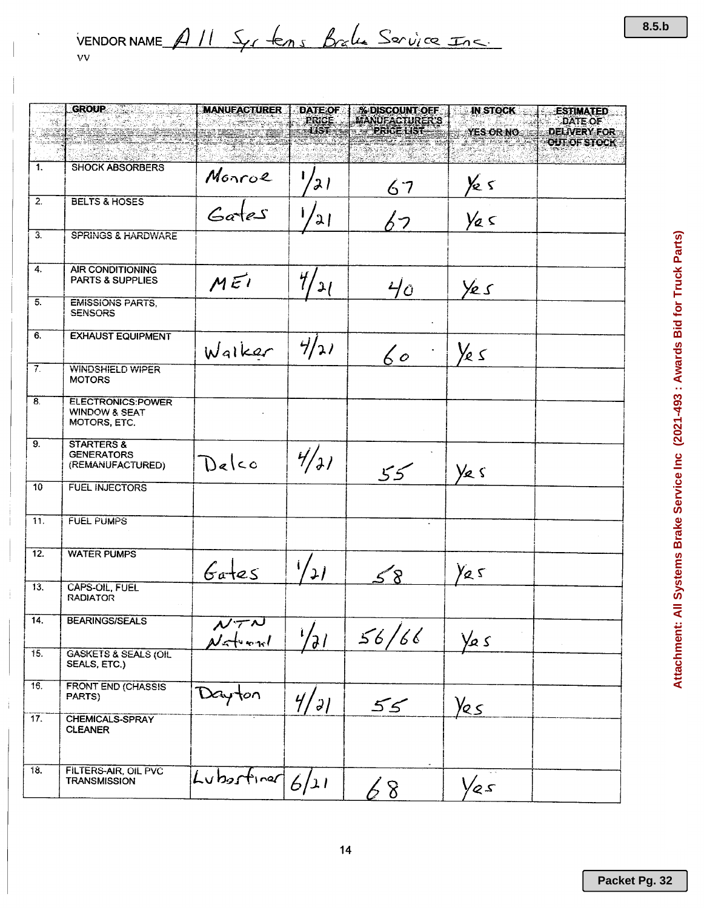|                   | <b>GROUP</b>                                                         | <b>MANUEACTURER</b>             | <b>DATE OF</b>           | <b>% DISCOUNT OFF</b>                      | <b>IN STOCK</b>         | <b>ESTIMATED</b>               |
|-------------------|----------------------------------------------------------------------|---------------------------------|--------------------------|--------------------------------------------|-------------------------|--------------------------------|
|                   |                                                                      |                                 | PRICE<br>$-137$          | <b>MANUFACTURER'S</b><br><b>PRICE LIST</b> | <b>YES OR NO</b>        | DATE OF<br><b>DELIVERY FOR</b> |
|                   |                                                                      |                                 |                          |                                            |                         | OUT OF STOCK                   |
| 1.                | <b>SHOCK ABSORBERS</b>                                               | Monroe                          | 21                       | 67                                         |                         |                                |
| $\overline{2}$ .  | <b>BELTS &amp; HOSES</b>                                             | $rac{1}{6a^{1}e^{s}}$           | 21                       | くつ                                         | $\frac{y_{e}}{y_{e}}$   |                                |
| $\overline{3}$ .  | <b>SPRINGS &amp; HARDWARE</b>                                        |                                 |                          |                                            |                         |                                |
| $\overline{4}$ .  | <b>AIR CONDITIONING</b><br><b>PARTS &amp; SUPPLIES</b>               | MEI                             | $\mathcal{H}_I$<br>21    | $40^{\circ}$                               | Yes                     |                                |
| $\overline{5}$ .  | <b>EMISSIONS PARTS.</b><br><b>SENSORS</b>                            |                                 |                          |                                            |                         |                                |
| 6.                | <b>EXHAUST EQUIPMENT</b>                                             | Walker                          | 4/21                     | $60^{\circ}$                               | Ye s                    |                                |
| $7^\circ$         | <b>WINDSHIELD WIPER</b><br><b>MOTORS</b>                             |                                 |                          |                                            |                         |                                |
| $\overline{8}$    | <b>ELECTRONICS:POWER</b><br><b>WINDOW &amp; SEAT</b><br>MOTORS, ETC. |                                 |                          |                                            |                         |                                |
| 9.                | <b>STARTERS &amp;</b><br><b>GENERATORS</b><br>(REMANUFACTURED)       | Delco                           | 4/7/                     | 55                                         | Ye s                    |                                |
| 10 <sup>10</sup>  | <b>FUEL INJECTORS</b>                                                |                                 |                          |                                            |                         |                                |
| 11.               | <b>FUEL PUMPS</b>                                                    |                                 |                          |                                            |                         |                                |
| 12.               | <b>WATER PUMPS</b>                                                   | $6a$ tes                        | $\overline{\mathcal{L}}$ | ∕?                                         | Ya 5                    |                                |
| 13.               | <b>CAPS-OIL, FUEL</b><br><b>RADIATOR</b>                             |                                 |                          |                                            |                         |                                |
| $\overline{14}$ . | <b>BEARINGS/SEALS</b>                                                | $N \tau N$<br>$\mathcal{N}$ and | $\sqrt{21}$              | 56/66                                      | $\frac{1}{2}$ s         |                                |
| $\overline{15}$ . | <b>GASKETS &amp; SEALS (OIL</b><br>SEALS, ETC.)                      |                                 |                          |                                            |                         |                                |
| 16.               | <b>FRONT END (CHASSIS</b><br>PARTS)                                  | Dayton                          | 4/71                     | 55                                         | $\frac{\gamma_{25}}{2}$ |                                |
| 17.               | CHEMICALS-SPRAY<br><b>CLEANER</b>                                    |                                 |                          |                                            |                         |                                |
| 18.               | FILTERS-AIR, OIL PVC<br><b>TRANSMISSION</b>                          | Luberfine $6/21$                |                          | 8                                          | Yes                     |                                |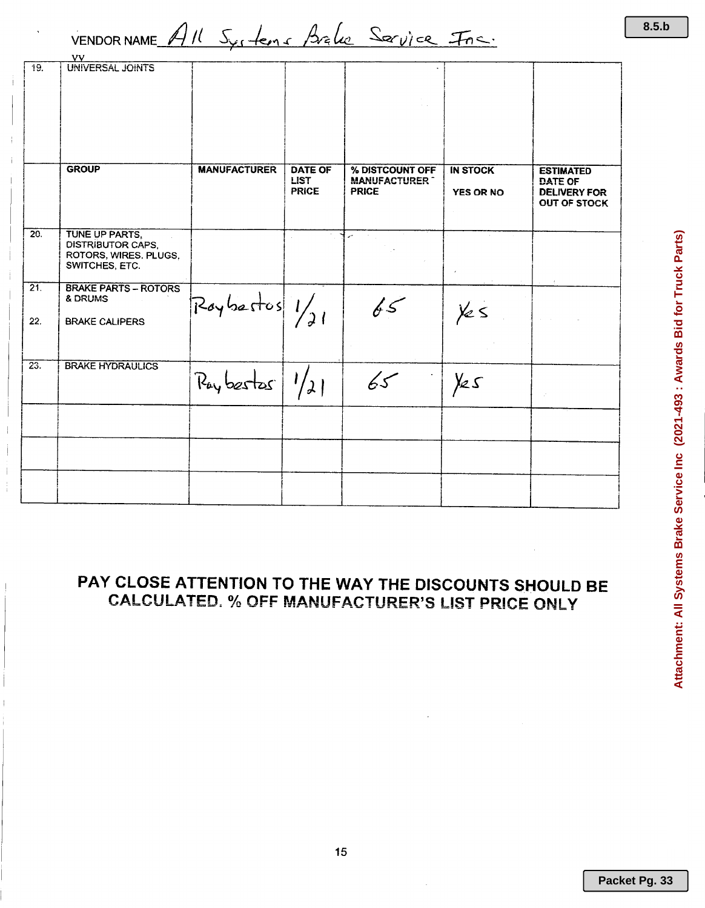VENDORNAME All Systems Brake Service Fre.

|                   | νv                                                                             |                                    |                             |                                     |                  |                                                       |
|-------------------|--------------------------------------------------------------------------------|------------------------------------|-----------------------------|-------------------------------------|------------------|-------------------------------------------------------|
| 19.               | <b>UNIVERSAL JOINTS</b>                                                        |                                    |                             |                                     |                  |                                                       |
|                   | <b>GROUP</b>                                                                   | <b>MANUFACTURER</b>                | <b>DATE OF</b>              | % DISTCOUNT OFF                     | <b>IN STOCK</b>  | <b>ESTIMATED</b>                                      |
|                   |                                                                                |                                    | <b>LIST</b><br><b>PRICE</b> | <b>MANUFACTURER</b><br><b>PRICE</b> | <b>YES OR NO</b> | DATE OF<br><b>DELIVERY FOR</b><br><b>OUT OF STOCK</b> |
| 20.               | TUNE UP PARTS,<br>DISTRIBUTOR CAPS.<br>ROTORS, WIRES. PLUGS.<br>SWITCHES, ETC. |                                    |                             | $\mathcal{L}$<br>$\sim 100$         |                  |                                                       |
| 21.<br>22.        | <b>BRAKE PARTS - ROTORS</b><br>& DRUMS<br><b>BRAKE CALIPERS</b>                | $\left  \frac{1}{\sqrt{2}}\right $ |                             | 65                                  | $\frac{1}{2}$    |                                                       |
| $\overline{23}$ . | <b>BRAKE HYDRAULICS</b>                                                        |                                    |                             |                                     |                  |                                                       |
|                   |                                                                                | Pay best as 1/21                   |                             | 65                                  | Yes              | $\mathcal{J}^{\mathcal{C}}$                           |
|                   |                                                                                |                                    |                             |                                     |                  |                                                       |
|                   |                                                                                |                                    |                             |                                     |                  |                                                       |
|                   |                                                                                |                                    |                             |                                     |                  |                                                       |

# PAY CLOSE ATTENTION TO THE WAY THE DISCOUNTS SHOULD BE **CALCULATED. % OFF MANUFACTURER'S LIST PRICE ONLY**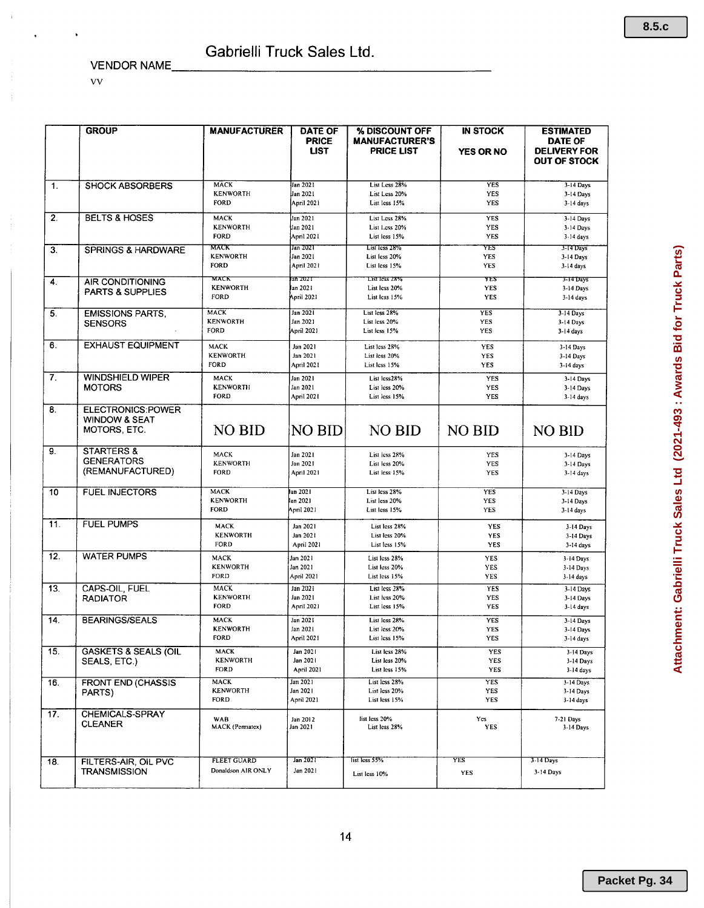VENDOR NAME

vv

÷

|                  | <b>GROUP</b>                                                   | <b>MANUFACTURER</b>                           | <b>DATE OF</b><br><b>PRICE</b><br><b>LIST</b> | % DISCOUNT OFF<br><b>MANUFACTURER'S</b><br><b>PRICE LIST</b> | <b>IN STOCK</b><br><b>YES OR NO</b> | <b>ESTIMATED</b><br><b>DATE OF</b><br><b>DELIVERY FOR</b><br><b>OUT OF STOCK</b> |
|------------------|----------------------------------------------------------------|-----------------------------------------------|-----------------------------------------------|--------------------------------------------------------------|-------------------------------------|----------------------------------------------------------------------------------|
| $\mathbf{1}$ .   | <b>SHOCK ABSORBERS</b>                                         | <b>MACK</b><br><b>KENWORTH</b><br>FORD        | Jan 2021<br>Jan 2021<br>April 2021            | List Less 28%<br>List Less 20%<br>List less 15%              | <b>YES</b><br>YES<br>YES            | $3-14$ Days<br>3-14 Days<br>$3-14$ days                                          |
| 2.               | <b>BELTS &amp; HOSES</b>                                       | <b>MACK</b><br><b>KENWORTH</b><br>FORD        | Jan 2021<br>Jan 2021<br>April 2021            | List Less 28%<br>List Less 20%<br>List less 15%              | <b>YES</b><br>YES<br><b>YES</b>     | 3-14 Days<br>3-14 Days<br>$3-14$ days                                            |
| 3.               | <b>SPRINGS &amp; HARDWARE</b>                                  | млск<br><b>KENWORTH</b><br><b>FORD</b>        | Jan 2021<br>Jan 2021<br>April 2021            | List less 28%<br>List less 20%<br>List less 15%              | YES<br>YES<br><b>YES</b>            | 3-T4 Days<br>3-14 Days<br>$3-14$ days                                            |
| 4.               | AIR CONDITIONING<br><b>PARTS &amp; SUPPLIES</b>                | MACK<br><b>KENWORTH</b><br><b>FORD</b>        | an 2021<br>lan 2021<br>April 2021             | <b>LIST ICSS 28%</b><br>List less 20%<br>List less 15%       | YES<br><b>YES</b><br>YES            | 3-14 Days<br>3-14 Days<br>3-14 days                                              |
| $\overline{5}$ . | <b>EMISSIONS PARTS,</b><br><b>SENSORS</b>                      | <b>MACK</b><br><b>KENWORTH</b><br>FORD        | Jan 2021<br>Jan 2021<br>April 2021            | List less 28%<br>List less 20%<br>List less 15%              | <b>YES</b><br>YES<br>YES            | 3-14 Days<br>3-14 Days<br>$3-14$ days                                            |
| 6.               | <b>EXHAUST EQUIPMENT</b>                                       | MACK<br><b>KENWORTH</b><br>FORD               | Jan 2021<br>Jan 2021<br><b>April 2021</b>     | List less 28%<br>List less 20%<br>List less 15%              | YES<br><b>YES</b><br>YES            | 3-14 Days<br>3-14 Days<br>$3-14$ days                                            |
| 7.               | <b>WINDSHIELD WIPER</b><br><b>MOTORS</b>                       | MACK<br><b>KENWORTH</b><br>FORD               | Jan 2021<br>Jan 2021<br>April 2021            | List less28%<br>List less 20%<br>List less 15%               | <b>YES</b><br>YES<br>YES            | 3-14 Days<br>3-14 Days<br>3-14 days                                              |
| 8.               | ELECTRONICS:POWER<br><b>WINDOW &amp; SEAT</b><br>MOTORS, ETC.  | NO BID                                        | <b>NO BID</b>                                 | <b>NO BID</b>                                                | <b>NO BID</b>                       | <b>NO BID</b>                                                                    |
| 9.               | <b>STARTERS &amp;</b><br><b>GENERATORS</b><br>(REMANUFACTURED) | MACK<br><b>KENWORTH</b><br>FORD               | Jan 2021<br>Jan 2021<br>April 2021            | List less 28%<br>List less 20%<br>List less 15%              | <b>YES</b><br>YES<br>YES            | 3-14 Days<br>3-14 Days<br>3-14 days                                              |
| 10               | <b>FUEL INJECTORS</b>                                          | <b>MACK</b><br><b>KENWORTH</b><br><b>FORD</b> | Jan 2021<br>lan 2021<br>April 2021            | List less 28%<br>List less 20%<br>List less 15%              | <b>YES</b><br>YES<br><b>YES</b>     | 3-14 Days<br>3-14 Days<br>3-14 days                                              |
| 11.              | <b>FUEL PUMPS</b>                                              | MACK<br><b>KENWORTH</b><br>FORD               | Jan 2021<br>Jan 2021<br>April 2021            | List less 28%<br>List less 20%<br>List less 15%              | YES<br><b>YES</b><br>YES            | 3-14 Days<br>3-14 Days<br>3-14 days                                              |
| 12.              | <b>WATER PUMPS</b>                                             | MACK<br><b>KENWORTH</b><br>FORD               | Jan 2021<br>Jan 2021<br><b>April 2021</b>     | List less 28%<br>List less 20%<br>List less 15%              | YES<br>YES<br><b>YES</b>            | 3-14 Days<br>3-14 Days<br>3-14 days                                              |
| 13.              | <b>CAPS-OIL, FUEL</b><br><b>RADIATOR</b>                       | <b>MACK</b><br><b>KENWORTH</b><br><b>FORD</b> | Jan 2021<br>Jan 2021<br>April 2021            | List less 28%<br>List less 20%<br>List less 15%              | <b>YES</b><br>YES<br>YES            | 3-14 Days<br>3-14 Days<br>3-14 days                                              |
| 14.              | <b>BEARINGS/SEALS</b>                                          | MACK<br><b>KENWORTH</b><br><b>FORD</b>        | Jan 2021<br>Jan 2021<br>April 2021            | List less 28%<br>List less 20%<br>List less 15%              | YES<br>YES<br>YES                   | 3-14 Days<br>3-14 Days<br>3-14 days                                              |
| 15.              | <b>GASKETS &amp; SEALS (OIL</b><br>SEALS, ETC.)                | MACK<br><b>KENWORTH</b><br>FORD               | Jan 2021<br>Jan 2021<br><b>April 2021</b>     | List less 28%<br>List less 20%<br>List less 15%              | YES<br>YES<br>YES                   | 3-14 Days<br>3-14 Days<br>$3-14$ days                                            |
| 16.              | <b>FRONT END (CHASSIS</b><br>PARTS)                            | <b>MACK</b><br><b>KENWORTH</b><br>FORD        | Jan 2021<br>Jan 2021<br>April 2021            | List less 28%<br>List less 20%<br>List less 15%              | YES<br><b>YES</b><br>YES            | 3-14 Days<br>3-14 Days<br>$3-14$ days                                            |
| 17.              | CHEMICALS-SPRAY<br><b>CLEANER</b>                              | WAB<br>MACK (Permatex)                        | Jan 2012<br>Jan 2021                          | list less 20%<br>List less 28%                               | Ycs<br>YES                          | 7-21 Days<br>3-14 Days                                                           |
| 18.              | FILTERS-AIR, OIL PVC<br><b>TRANSMISSION</b>                    | <b>FLEET GUARD</b><br>Donaldson AIR ONLY      | Jan 2021<br>Jan 2021                          | list less 55%<br>List less 10%                               | YES<br>YES                          | 3-14 Days<br>3-14 Days                                                           |